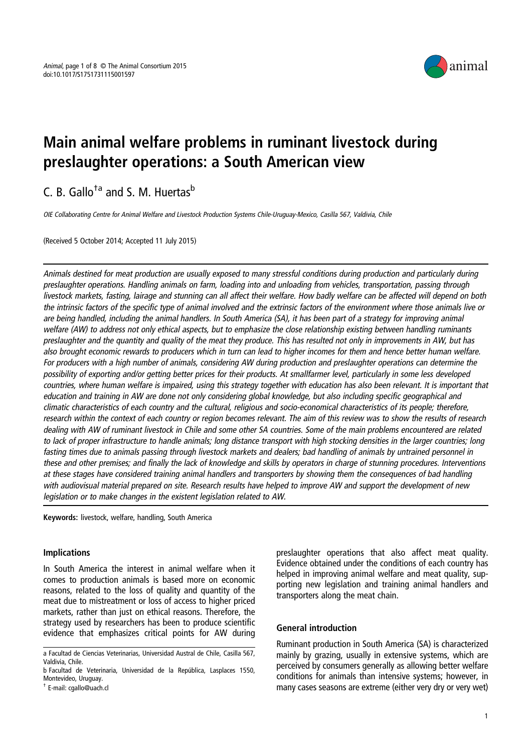

# Main animal welfare problems in ruminant livestock during preslaughter operations: a South American view

C. B. Gallo<sup>ta</sup> and S. M. Huertas<sup>b</sup>

OIE Collaborating Centre for Animal Welfare and Livestock Production Systems Chile-Uruguay-Mexico, Casilla 567, Valdivia, Chile

(Received 5 October 2014; Accepted 11 July 2015)

Animals destined for meat production are usually exposed to many stressful conditions during production and particularly during preslaughter operations. Handling animals on farm, loading into and unloading from vehicles, transportation, passing through livestock markets, fasting, lairage and stunning can all affect their welfare. How badly welfare can be affected will depend on both the intrinsic factors of the specifi<sup>c</sup> type of animal involved and the extrinsic factors of the environment where those animals live or are being handled, including the animal handlers. In South America (SA), it has been part of <sup>a</sup> strategy for improving animal welfare (AW) to address not only ethical aspects, but to emphasize the close relationship existing between handling ruminants preslaughter and the quantity and quality of the meat they produce. This has resulted not only in improvements in AW, but has also brought economic rewards to producers which in turn can lead to higher incomes for them and hence better human welfare. For producers with <sup>a</sup> high number of animals, considering AW during production and preslaughter operations can determine the possibility of exporting and/or getting better prices for their products. At smallfarmer level, particularly in some less developed countries, where human welfare is impaired, using this strategy together with education has also been relevant. It is important that education and training in AW are done not only considering global knowledge, but also including specifi<sup>c</sup> geographical and climatic characteristics of each country and the cultural, religious and socio-economical characteristics of its people; therefore, research within the context of each country or region becomes relevant. The aim of this review was to show the results of research dealing with AW of ruminant livestock in Chile and some other SA countries. Some of the main problems encountered are related to lack of proper infrastructure to handle animals; long distance transport with high stocking densities in the larger countries; long fasting times due to animals passing through livestock markets and dealers; bad handling of animals by untrained personnel in these and other premises; and finally the lack of knowledge and skills by operators in charge of stunning procedures. Interventions at these stages have considered training animal handlers and transporters by showing them the consequences of bad handling with audiovisual material prepared on site. Research results have helped to improve AW and support the development of new legislation or to make changes in the existent legislation related to AW.

Keywords: livestock, welfare, handling, South America

# Implications

In South America the interest in animal welfare when it comes to production animals is based more on economic reasons, related to the loss of quality and quantity of the meat due to mistreatment or loss of access to higher priced markets, rather than just on ethical reasons. Therefore, the strategy used by researchers has been to produce scientific evidence that emphasizes critical points for AW during

preslaughter operations that also affect meat quality. Evidence obtained under the conditions of each country has helped in improving animal welfare and meat quality, supporting new legislation and training animal handlers and transporters along the meat chain.

# General introduction

Ruminant production in South America (SA) is characterized mainly by grazing, usually in extensive systems, which are perceived by consumers generally as allowing better welfare conditions for animals than intensive systems; however, in many cases seasons are extreme (either very dry or very wet) † E-mail: [cgallo@uach.cl](mailto:cgallo@uach.cl)

a Facultad de Ciencias Veterinarias, Universidad Austral de Chile, Casilla 567, Valdivia, Chile.

b Facultad de Veterinaria, Universidad de la República, Lasplaces 1550, Montevideo, Uruguay.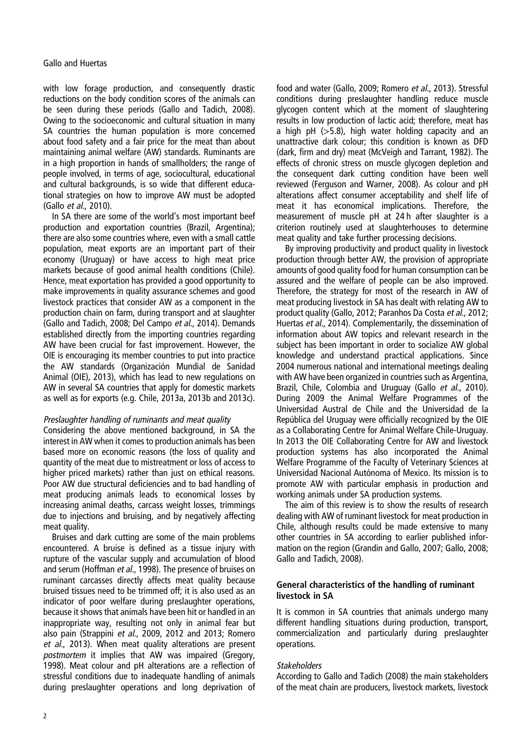with low forage production, and consequently drastic reductions on the body condition scores of the animals can be seen during these periods (Gallo and Tadich, [2008](#page-6-0)). Owing to the socioeconomic and cultural situation in many SA countries the human population is more concerned about food safety and a fair price for the meat than about maintaining animal welfare (AW) standards. Ruminants are in a high proportion in hands of smallholders; the range of people involved, in terms of age, sociocultural, educational and cultural backgrounds, is so wide that different educational strategies on how to improve AW must be adopted (Gallo et al., [2010](#page-6-0)).

In SA there are some of the world's most important beef production and exportation countries (Brazil, Argentina); there are also some countries where, even with a small cattle population, meat exports are an important part of their economy (Uruguay) or have access to high meat price markets because of good animal health conditions (Chile). Hence, meat exportation has provided a good opportunity to make improvements in quality assurance schemes and good livestock practices that consider AW as a component in the production chain on farm, during transport and at slaughter (Gallo and Tadich, [2008](#page-6-0); Del Campo et al., [2014\)](#page-6-0). Demands established directly from the importing countries regarding AW have been crucial for fast improvement. However, the OIE is encouraging its member countries to put into practice the AW standards (Organización Mundial de Sanidad Animal (OIE), [2013\)](#page-6-0), which has lead to new regulations on AW in several SA countries that apply for domestic markets as well as for exports (e.g. Chile, [2013a](#page-6-0), 2013[b](#page-6-0) and 201[3c](#page-6-0)).

### Preslaughter handling of ruminants and meat quality

Considering the above mentioned background, in SA the interest in AW when it comes to production animals has been based more on economic reasons (the loss of quality and quantity of the meat due to mistreatment or loss of access to higher priced markets) rather than just on ethical reasons. Poor AW due structural deficiencies and to bad handling of meat producing animals leads to economical losses by increasing animal deaths, carcass weight losses, trimmings due to injections and bruising, and by negatively affecting meat quality.

Bruises and dark cutting are some of the main problems encountered. A bruise is defined as a tissue injury with rupture of the vascular supply and accumulation of blood and serum (Hoffman et al., [1998\)](#page-6-0). The presence of bruises on ruminant carcasses directly affects meat quality because bruised tissues need to be trimmed off; it is also used as an indicator of poor welfare during preslaughter operations, because it shows that animals have been hit or handled in an inappropriate way, resulting not only in animal fear but also pain (Strappini et al., [2009](#page-7-0), [2012](#page-7-0) and [2013;](#page-7-0) Romero et al., [2013\)](#page-7-0). When meat quality alterations are present postmortem it implies that AW was impaired (Gregory, [1998](#page-6-0)). Meat colour and pH alterations are a reflection of stressful conditions due to inadequate handling of animals during preslaughter operations and long deprivation of food and water (Gallo, [2009;](#page-6-0) Romero et al., [2013](#page-7-0)). Stressful conditions during preslaughter handling reduce muscle glycogen content which at the moment of slaughtering results in low production of lactic acid; therefore, meat has a high pH (>5.8), high water holding capacity and an unattractive dark colour; this condition is known as DFD (dark, firm and dry) meat (McVeigh and Tarrant, [1982](#page-6-0)). The effects of chronic stress on muscle glycogen depletion and the consequent dark cutting condition have been well reviewed (Ferguson and Warner, [2008](#page-6-0)). As colour and pH alterations affect consumer acceptability and shelf life of meat it has economical implications. Therefore, the measurement of muscle pH at 24 h after slaughter is a criterion routinely used at slaughterhouses to determine meat quality and take further processing decisions.

By improving productivity and product quality in livestock production through better AW, the provision of appropriate amounts of good quality food for human consumption can be assured and the welfare of people can be also improved. Therefore, the strategy for most of the research in AW of meat producing livestock in SA has dealt with relating AW to product quality (Gallo, [2012;](#page-6-0) Paranhos Da Costa et al., [2012](#page-7-0); Huertas et al., [2014](#page-6-0)). Complementarily, the dissemination of information about AW topics and relevant research in the subject has been important in order to socialize AW global knowledge and understand practical applications. Since 2004 numerous national and international meetings dealing with AW have been organized in countries such as Argentina, Brazil, Chile, Colombia and Uruguay (Gallo et al., [2010](#page-6-0)). During 2009 the Animal Welfare Programmes of the Universidad Austral de Chile and the Universidad de la República del Uruguay were officially recognized by the OIE as a Collaborating Centre for Animal Welfare Chile-Uruguay. In 2013 the OIE Collaborating Centre for AW and livestock production systems has also incorporated the Animal Welfare Programme of the Faculty of Veterinary Sciences at Universidad Nacional Autónoma of Mexico. Its mission is to promote AW with particular emphasis in production and working animals under SA production systems.

The aim of this review is to show the results of research dealing with AW of ruminant livestock for meat production in Chile, although results could be made extensive to many other countries in SA according to earlier published information on the region (Grandin and Gallo, [2007;](#page-6-0) Gallo, [2008](#page-6-0); Gallo and Tadich, [2008\)](#page-6-0).

# General characteristics of the handling of ruminant livestock in SA

It is common in SA countries that animals undergo many different handling situations during production, transport, commercialization and particularly during preslaughter operations.

### **Stakeholders**

According to Gallo and Tadich [\(2008](#page-6-0)) the main stakeholders of the meat chain are producers, livestock markets, livestock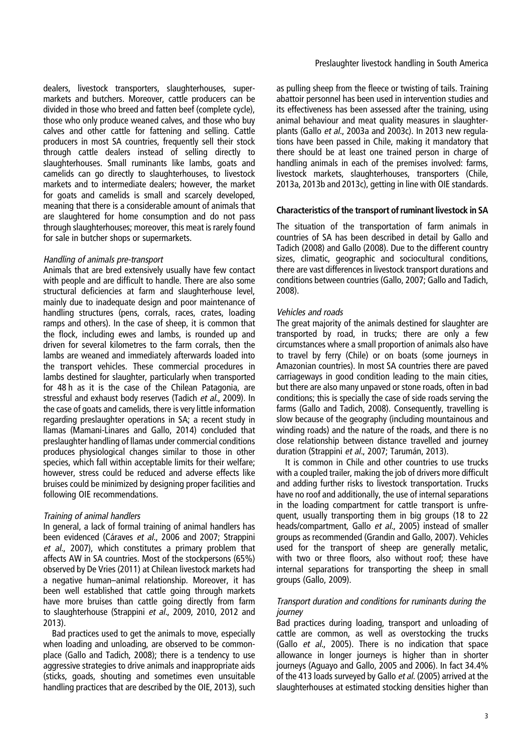dealers, livestock transporters, slaughterhouses, supermarkets and butchers. Moreover, cattle producers can be divided in those who breed and fatten beef (complete cycle), those who only produce weaned calves, and those who buy calves and other cattle for fattening and selling. Cattle producers in most SA countries, frequently sell their stock through cattle dealers instead of selling directly to slaughterhouses. Small ruminants like lambs, goats and camelids can go directly to slaughterhouses, to livestock markets and to intermediate dealers; however, the market for goats and camelids is small and scarcely developed, meaning that there is a considerable amount of animals that are slaughtered for home consumption and do not pass through slaughterhouses; moreover, this meat is rarely found for sale in butcher shops or supermarkets.

#### Handling of animals pre-transport

Animals that are bred extensively usually have few contact with people and are difficult to handle. There are also some structural deficiencies at farm and slaughterhouse level, mainly due to inadequate design and poor maintenance of handling structures (pens, corrals, races, crates, loading ramps and others). In the case of sheep, it is common that the flock, including ewes and lambs, is rounded up and driven for several kilometres to the farm corrals, then the lambs are weaned and immediately afterwards loaded into the transport vehicles. These commercial procedures in lambs destined for slaughter, particularly when transported for 48 h as it is the case of the Chilean Patagonia, are stressful and exhaust body reserves (Tadich et al., [2009\)](#page-7-0). In the case of goats and camelids, there is very little information regarding preslaughter operations in SA; a recent study in llamas (Mamani-Linares and Gallo, [2014](#page-6-0)) concluded that preslaughter handling of llamas under commercial conditions produces physiological changes similar to those in other species, which fall within acceptable limits for their welfare; however, stress could be reduced and adverse effects like bruises could be minimized by designing proper facilities and following OIE recommendations.

### Training of animal handlers

In general, a lack of formal training of animal handlers has been evidenced (Cáraves et al., [2006](#page-6-0) and [2007;](#page-6-0) Strappini et al., [2007\)](#page-7-0), which constitutes a primary problem that affects AW in SA countries. Most of the stockpersons (65%) observed by De Vries [\(2011](#page-6-0)) at Chilean livestock markets had a negative human–animal relationship. Moreover, it has been well established that cattle going through markets have more bruises than cattle going directly from farm to slaughterhouse (Strappini et al., [2009, 2010](#page-7-0), [2012](#page-7-0) and [2013](#page-7-0)).

Bad practices used to get the animals to move, especially when loading and unloading, are observed to be commonplace (Gallo and Tadich, [2008](#page-6-0)); there is a tendency to use aggressive strategies to drive animals and inappropriate aids (sticks, goads, shouting and sometimes even unsuitable handling practices that are described by the OIE, [2013\)](#page-6-0), such as pulling sheep from the fleece or twisting of tails. Training abattoir personnel has been used in intervention studies and its effectiveness has been assessed after the training, using animal behaviour and meat quality measures in slaughter-plants (Gallo et al., [2003a](#page-6-0) and [2003c\)](#page-6-0). In 2013 new regulations have been passed in Chile, making it mandatory that there should be at least one trained person in charge of handling animals in each of the premises involved: farms, livestock markets, slaughterhouses, transporters (Chile, [2013a](#page-6-0), [2013b](#page-6-0) and [2013c](#page-6-0)), getting in line with OIE standards.

#### Characteristics of the transport of ruminant livestock in SA

The situation of the transportation of farm animals in countries of SA has been described in detail by Gallo and Tadich ([2008\)](#page-6-0) and Gallo [\(2008](#page-6-0)). Due to the different country sizes, climatic, geographic and sociocultural conditions, there are vast differences in livestock transport durations and conditions between countries (Gallo, [2007](#page-6-0); Gallo and Tadich, [2008](#page-6-0)).

#### Vehicles and roads

The great majority of the animals destined for slaughter are transported by road, in trucks; there are only a few circumstances where a small proportion of animals also have to travel by ferry (Chile) or on boats (some journeys in Amazonian countries). In most SA countries there are paved carriageways in good condition leading to the main cities, but there are also many unpaved or stone roads, often in bad conditions; this is specially the case of side roads serving the farms (Gallo and Tadich, [2008](#page-6-0)). Consequently, travelling is slow because of the geography (including mountainous and winding roads) and the nature of the roads, and there is no close relationship between distance travelled and journey duration (Strappini et al., [2007;](#page-7-0) Tarumán, [2013\)](#page-7-0).

It is common in Chile and other countries to use trucks with a coupled trailer, making the job of drivers more difficult and adding further risks to livestock transportation. Trucks have no roof and additionally, the use of internal separations in the loading compartment for cattle transport is unfrequent, usually transporting them in big groups (18 to 22 heads/compartment, Gallo et al., [2005\)](#page-6-0) instead of smaller groups as recommended (Grandin and Gallo, [2007\)](#page-6-0). Vehicles used for the transport of sheep are generally metalic, with two or three floors, also without roof; these have internal separations for transporting the sheep in small groups (Gallo, [2009](#page-6-0)).

# Transport duration and conditions for ruminants during the journey

Bad practices during loading, transport and unloading of cattle are common, as well as overstocking the trucks (Gallo et al., [2005\)](#page-6-0). There is no indication that space allowance in longer journeys is higher than in shorter journeys (Aguayo and Gallo, [2005](#page-5-0) and [2006\)](#page-5-0). In fact 34.4% of the 413 loads surveyed by Gallo et al. ([2005\)](#page-6-0) arrived at the slaughterhouses at estimated stocking densities higher than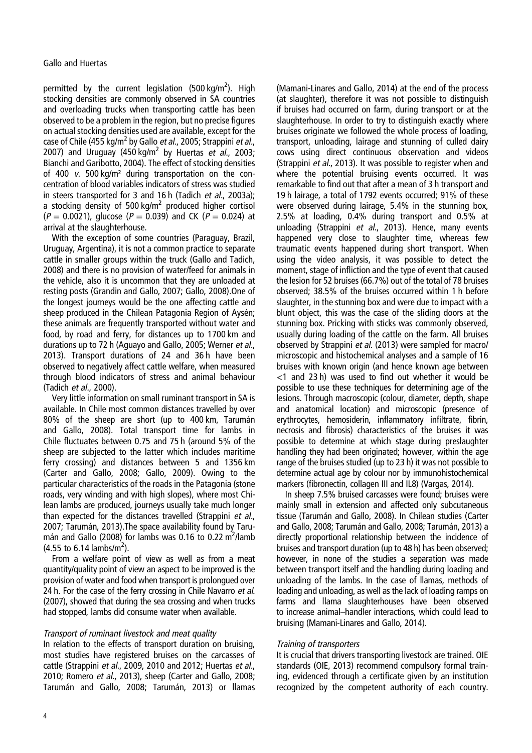permitted by the current legislation (500 kg/m<sup>2</sup>). High stocking densities are commonly observed in SA countries and overloading trucks when transporting cattle has been observed to be a problem in the region, but no precise figures on actual stocking densities used are available, except for the case of Chile (455 kg/m<sup>2</sup> by Gallo et al., [2005](#page-6-0); Strappini et al., [2007](#page-7-0)) and Uruguay (450 kg/m<sup>2</sup> by Huertas *et al.*, [2003](#page-6-0); Bianchi and Garibotto, [2004](#page-6-0)). The effect of stocking densities of 400 v. 500 kg/m² during transportation on the concentration of blood variables indicators of stress was studied in steers transported for 3 and 16 h (Tadich et al., [2003a](#page-7-0)); a stocking density of 500 kg/m<sup>2</sup> produced higher cortisol  $(P = 0.0021)$ , glucose  $(P = 0.039)$  and CK  $(P = 0.024)$  at arrival at the slaughterhouse.

With the exception of some countries (Paraguay, Brazil, Uruguay, Argentina), it is not a common practice to separate cattle in smaller groups within the truck (Gallo and Tadich, [2008](#page-6-0)) and there is no provision of water/feed for animals in the vehicle, also it is uncommon that they are unloaded at resting posts (Grandin and Gallo, [2007](#page-6-0); Gallo, [2008\)](#page-6-0).One of the longest journeys would be the one affecting cattle and sheep produced in the Chilean Patagonia Region of Aysén; these animals are frequently transported without water and food, by road and ferry, for distances up to 1700 km and durations up to 72 h (Aguayo and Gallo, [2005;](#page-5-0) Werner et al., [2013](#page-7-0)). Transport durations of 24 and 36 h have been observed to negatively affect cattle welfare, when measured through blood indicators of stress and animal behaviour (Tadich et al., [2000](#page-7-0)).

Very little information on small ruminant transport in SA is available. In Chile most common distances travelled by over 80% of the sheep are short (up to 400 km, Tarumán and Gallo, [2008](#page-7-0)). Total transport time for lambs in Chile fluctuates between 0.75 and 75 h (around 5% of the sheep are subjected to the latter which includes maritime ferry crossing) and distances between 5 and 1356 km (Carter and Gallo, [2008;](#page-6-0) Gallo, [2009](#page-6-0)). Owing to the particular characteristics of the roads in the Patagonia (stone roads, very winding and with high slopes), where most Chilean lambs are produced, journeys usually take much longer than expected for the distances travelled (Strappini et al., [2007](#page-7-0); Tarumán, [2013](#page-7-0)).The space availability found by Taru-mán and Gallo [\(2008](#page-7-0)) for lambs was 0.16 to 0.22 m<sup>2</sup>/lamb  $(4.55 \text{ to } 6.14 \text{ lambs/m}^2).$ 

From a welfare point of view as well as from a meat quantity/quality point of view an aspect to be improved is the provision of water and food when transport is prolongued over 24 h. For the case of the ferry crossing in Chile Navarro et al. [\(2007\)](#page-6-0), showed that during the sea crossing and when trucks had stopped, lambs did consume water when available.

# Transport of ruminant livestock and meat quality

In relation to the effects of transport duration on bruising, most studies have registered bruises on the carcasses of cattle (Strappini et al., [2009, 2010](#page-7-0) and [2012;](#page-7-0) Huertas et al., [2010](#page-6-0); Romero et al., [2013\)](#page-7-0), sheep (Carter and Gallo, [2008](#page-6-0); Tarumán and Gallo, [2008;](#page-7-0) Tarumán, [2013](#page-7-0)) or llamas

(Mamani-Linares and Gallo, [2014](#page-6-0)) at the end of the process (at slaughter), therefore it was not possible to distinguish if bruises had occurred on farm, during transport or at the slaughterhouse. In order to try to distinguish exactly where bruises originate we followed the whole process of loading, transport, unloading, lairage and stunning of culled dairy cows using direct continuous observation and videos (Strappini *et al.*, [2013](#page-7-0)). It was possible to register when and where the potential bruising events occurred. It was remarkable to find out that after a mean of 3 h transport and 19 h lairage, a total of 1792 events occurred; 91% of these were observed during lairage, 5.4% in the stunning box, 2.5% at loading, 0.4% during transport and 0.5% at unloading (Strappini et al., [2013](#page-7-0)). Hence, many events happened very close to slaughter time, whereas few traumatic events happened during short transport. When using the video analysis, it was possible to detect the moment, stage of infliction and the type of event that caused the lesion for 52 bruises (66.7%) out of the total of 78 bruises observed; 38.5% of the bruises occurred within 1 h before slaughter, in the stunning box and were due to impact with a blunt object, this was the case of the sliding doors at the stunning box. Pricking with sticks was commonly observed, usually during loading of the cattle on the farm. All bruises observed by Strappini et al. ([2013\)](#page-7-0) were sampled for macro/ microscopic and histochemical analyses and a sample of 16 bruises with known origin (and hence known age between <1 and 23 h) was used to find out whether it would be possible to use these techniques for determining age of the lesions. Through macroscopic (colour, diameter, depth, shape and anatomical location) and microscopic (presence of erythrocytes, hemosiderin, inflammatory infiltrate, fibrin, necrosis and fibrosis) characteristics of the bruises it was possible to determine at which stage during preslaughter handling they had been originated; however, within the age range of the bruises studied (up to 23 h) it was not possible to determine actual age by colour nor by immunohistochemical markers (fibronectin, collagen III and IL8) (Vargas, [2014](#page-7-0)).

In sheep 7.5% bruised carcasses were found; bruises were mainly small in extension and affected only subcutaneous tissue (Tarumán and Gallo, [2008\)](#page-7-0). In Chilean studies (Carter and Gallo, [2008;](#page-6-0) Tarumán and Gallo, [2008](#page-7-0); Tarumán, [2013\)](#page-7-0) a directly proportional relationship between the incidence of bruises and transport duration (up to 48 h) has been observed; however, in none of the studies a separation was made between transport itself and the handling during loading and unloading of the lambs. In the case of llamas, methods of loading and unloading, as well as the lack of loading ramps on farms and llama slaughterhouses have been observed to increase animal–handler interactions, which could lead to bruising (Mamani-Linares and Gallo, [2014\)](#page-6-0).

### Training of transporters

It is crucial that drivers transporting livestock are trained. OIE standards (OIE, [2013](#page-6-0)) recommend compulsory formal training, evidenced through a certificate given by an institution recognized by the competent authority of each country.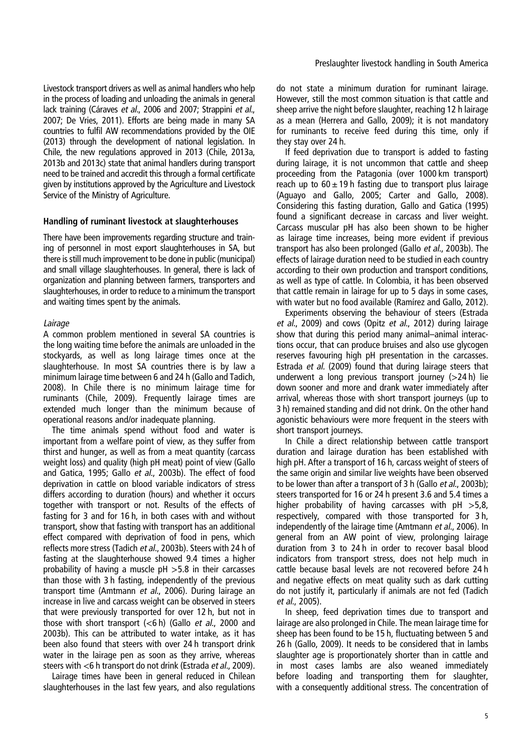Livestock transport drivers as well as animal handlers who help in the process of loading and unloading the animals in general lack training (Cáraves et al., [2006](#page-6-0) and [2007;](#page-6-0) Strappini et al., [2007;](#page-7-0) De Vries, [2011\)](#page-6-0). Efforts are being made in many SA countries to fulfil AW recommendations provided by the OIE [\(2013](#page-6-0)) through the development of national legislation. In Chile, the new regulations approved in 2013 (Chile, [2013a](#page-6-0), [2013b](#page-6-0) and [2013c\)](#page-6-0) state that animal handlers during transport need to be trained and accredit this through a formal certificate given by institutions approved by the Agriculture and Livestock Service of the Ministry of Agriculture.

#### Handling of ruminant livestock at slaughterhouses

There have been improvements regarding structure and training of personnel in most export slaughterhouses in SA, but there is still much improvement to be done in public (municipal) and small village slaughterhouses. In general, there is lack of organization and planning between farmers, transporters and slaughterhouses, in order to reduce to a minimum the transport and waiting times spent by the animals.

#### Lairage

A common problem mentioned in several SA countries is the long waiting time before the animals are unloaded in the stockyards, as well as long lairage times once at the slaughterhouse. In most SA countries there is by law a minimum lairage time between 6 and 24 h (Gallo and Tadich, [2008](#page-6-0)). In Chile there is no minimum lairage time for ruminants (Chile, [2009](#page-6-0)). Frequently lairage times are extended much longer than the minimum because of operational reasons and/or inadequate planning.

The time animals spend without food and water is important from a welfare point of view, as they suffer from thirst and hunger, as well as from a meat quantity (carcass weight loss) and quality (high pH meat) point of view (Gallo and Gatica, [1995;](#page-6-0) Gallo et al., [2003b\)](#page-6-0). The effect of food deprivation in cattle on blood variable indicators of stress differs according to duration (hours) and whether it occurs together with transport or not. Results of the effects of fasting for 3 and for 16 h, in both cases with and without transport, show that fasting with transport has an additional effect compared with deprivation of food in pens, which reflects more stress (Tadich et al., [2003b](#page-7-0)). Steers with 24 h of fasting at the slaughterhouse showed 9.4 times a higher probability of having a muscle  $pH > 5.8$  in their carcasses than those with 3 h fasting, independently of the previous transport time (Amtmann et al., [2006](#page-6-0)). During lairage an increase in live and carcass weight can be observed in steers that were previously transported for over 12 h, but not in those with short transport  $(<6 h)$  (Gallo *et al.*, [2000](#page-6-0) and [2003b](#page-6-0)). This can be attributed to water intake, as it has been also found that steers with over 24 h transport drink water in the lairage pen as soon as they arrive, whereas steers with <6 h transport do not drink (Estrada et al., [2009](#page-6-0)).

Lairage times have been in general reduced in Chilean slaughterhouses in the last few years, and also regulations do not state a minimum duration for ruminant lairage. However, still the most common situation is that cattle and sheep arrive the night before slaughter, reaching 12 h lairage as a mean (Herrera and Gallo, [2009](#page-6-0)); it is not mandatory for ruminants to receive feed during this time, only if they stay over 24 h.

If feed deprivation due to transport is added to fasting during lairage, it is not uncommon that cattle and sheep proceeding from the Patagonia (over 1000 km transport) reach up to  $60 \pm 19$  h fasting due to transport plus lairage (Aguayo and Gallo, [2005](#page-5-0); Carter and Gallo, [2008](#page-6-0)). Considering this fasting duration, Gallo and Gatica ([1995\)](#page-6-0) found a significant decrease in carcass and liver weight. Carcass muscular pH has also been shown to be higher as lairage time increases, being more evident if previous transport has also been prolonged (Gallo et al., 200[3b](#page-6-0)). The effects of lairage duration need to be studied in each country according to their own production and transport conditions, as well as type of cattle. In Colombia, it has been observed that cattle remain in lairage for up to 5 days in some cases, with water but no food available (Ramírez and Gallo, [2012](#page-7-0)).

Experiments observing the behaviour of steers (Estrada et al., [2009\)](#page-6-0) and cows (Opitz et al., [2012](#page-7-0)) during lairage show that during this period many animal–animal interactions occur, that can produce bruises and also use glycogen reserves favouring high pH presentation in the carcasses. Estrada et al. [\(2009\)](#page-6-0) found that during lairage steers that underwent a long previous transport journey (>24 h) lie down sooner and more and drank water immediately after arrival, whereas those with short transport journeys (up to 3 h) remained standing and did not drink. On the other hand agonistic behaviours were more frequent in the steers with short transport journeys.

In Chile a direct relationship between cattle transport duration and lairage duration has been established with high pH. After a transport of 16 h, carcass weight of steers of the same origin and similar live weights have been observed to be lower than after a transport of 3 h (Gallo et al., [2003b](#page-6-0)); steers transported for 16 or 24 h present 3.6 and 5.4 times a higher probability of having carcasses with  $pH > 5.8$ , respectively, compared with those transported for 3 h, independently of the lairage time (Amtmann et al., [2006](#page-6-0)). In general from an AW point of view, prolonging lairage duration from 3 to 24 h in order to recover basal blood indicators from transport stress, does not help much in cattle because basal levels are not recovered before 24 h and negative effects on meat quality such as dark cutting do not justify it, particularly if animals are not fed (Tadich et al., [2005\)](#page-7-0).

In sheep, feed deprivation times due to transport and lairage are also prolonged in Chile. The mean lairage time for sheep has been found to be 15 h, fluctuating between 5 and 26 h (Gallo, [2009](#page-6-0)). It needs to be considered that in lambs slaughter age is proportionately shorter than in cattle and in most cases lambs are also weaned immediately before loading and transporting them for slaughter, with a consequently additional stress. The concentration of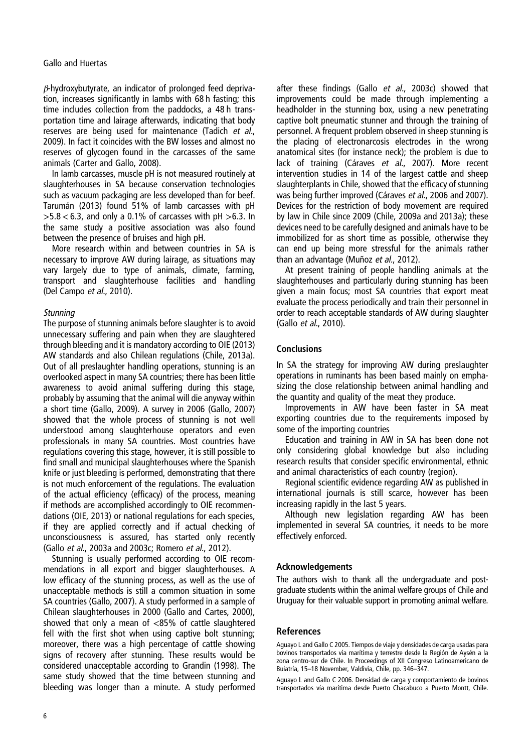<span id="page-5-0"></span> $\beta$ -hydroxybutyrate, an indicator of prolonged feed deprivation, increases significantly in lambs with 68 h fasting; this time includes collection from the paddocks, a 48 h transportation time and lairage afterwards, indicating that body reserves are being used for maintenance (Tadich et al., [2009](#page-7-0)). In fact it coincides with the BW losses and almost no reserves of glycogen found in the carcasses of the same animals (Carter and Gallo, [2008](#page-6-0)).

In lamb carcasses, muscle pH is not measured routinely at slaughterhouses in SA because conservation technologies such as vacuum packaging are less developed than for beef. Tarumán [\(2013](#page-7-0)) found 51% of lamb carcasses with pH  $>5.8$  < 6.3, and only a 0.1% of carcasses with pH  $>$ 6.3. In the same study a positive association was also found between the presence of bruises and high pH.

More research within and between countries in SA is necessary to improve AW during lairage, as situations may vary largely due to type of animals, climate, farming, transport and slaughterhouse facilities and handling (Del Campo et al., [2010](#page-6-0)).

# **Stunning**

The purpose of stunning animals before slaughter is to avoid unnecessary suffering and pain when they are slaughtered through bleeding and it is mandatory according to OIE ([2013\)](#page-6-0) AW standards and also Chilean regulations (Chile, [2013a](#page-6-0)). Out of all preslaughter handling operations, stunning is an overlooked aspect in many SA countries; there has been little awareness to avoid animal suffering during this stage, probably by assuming that the animal will die anyway within a short time (Gallo, [2009](#page-6-0)). A survey in 2006 (Gallo, [2007\)](#page-6-0) showed that the whole process of stunning is not well understood among slaughterhouse operators and even professionals in many SA countries. Most countries have regulations covering this stage, however, it is still possible to find small and municipal slaughterhouses where the Spanish knife or just bleeding is performed, demonstrating that there is not much enforcement of the regulations. The evaluation of the actual efficiency (efficacy) of the process, meaning if methods are accomplished accordingly to OIE recommendations (OIE, [2013\)](#page-6-0) or national regulations for each species, if they are applied correctly and if actual checking of unconsciousness is assured, has started only recently (Gallo et al., [2003a](#page-6-0) and 200[3c](#page-6-0); Romero et al., [2012](#page-7-0)).

Stunning is usually performed according to OIE recommendations in all export and bigger slaughterhouses. A low efficacy of the stunning process, as well as the use of unacceptable methods is still a common situation in some SA countries (Gallo, [2007\)](#page-6-0). A study performed in a sample of Chilean slaughterhouses in 2000 (Gallo and Cartes, [2000](#page-6-0)), showed that only a mean of <85% of cattle slaughtered fell with the first shot when using captive bolt stunning; moreover, there was a high percentage of cattle showing signs of recovery after stunning. These results would be considered unacceptable according to Grandin [\(1998](#page-6-0)). The same study showed that the time between stunning and bleeding was longer than a minute. A study performed

after these findings (Gallo et al., [2003c\)](#page-6-0) showed that improvements could be made through implementing a headholder in the stunning box, using a new penetrating captive bolt pneumatic stunner and through the training of personnel. A frequent problem observed in sheep stunning is the placing of electronarcosis electrodes in the wrong anatomical sites (for instance neck); the problem is due to lack of training (Cáraves et al., [2007](#page-6-0)). More recent intervention studies in 14 of the largest cattle and sheep slaughterplants in Chile, showed that the efficacy of stunning was being further improved (Cáraves *et al.*, [2006](#page-6-0) and [2007](#page-6-0)). Devices for the restriction of body movement are required by law in Chile since 2009 (Chile, [2009](#page-6-0)a and [2013a](#page-6-0)); these devices need to be carefully designed and animals have to be immobilized for as short time as possible, otherwise they can end up being more stressful for the animals rather than an advantage (Muñoz et al., [2012](#page-6-0)).

At present training of people handling animals at the slaughterhouses and particularly during stunning has been given a main focus; most SA countries that export meat evaluate the process periodically and train their personnel in order to reach acceptable standards of AW during slaughter (Gallo et al., [2010](#page-6-0)).

# **Conclusions**

In SA the strategy for improving AW during preslaughter operations in ruminants has been based mainly on emphasizing the close relationship between animal handling and the quantity and quality of the meat they produce.

Improvements in AW have been faster in SA meat exporting countries due to the requirements imposed by some of the importing countries

Education and training in AW in SA has been done not only considering global knowledge but also including research results that consider specific environmental, ethnic and animal characteristics of each country (region).

Regional scientific evidence regarding AW as published in international journals is still scarce, however has been increasing rapidly in the last 5 years.

Although new legislation regarding AW has been implemented in several SA countries, it needs to be more effectively enforced.

# Acknowledgements

The authors wish to thank all the undergraduate and postgraduate students within the animal welfare groups of Chile and Uruguay for their valuable support in promoting animal welfare.

# **References**

Aguayo L and Gallo C 2005. Tiempos de viaje y densidades de carga usadas para bovinos transportados vía marítima y terrestre desde la Región de Aysén a la zona centro-sur de Chile. In Proceedings of XII Congreso Latinoamericano de Buiatría, 15–18 November, Valdivia, Chile, pp. 346–347.

Aguayo L and Gallo C 2006. Densidad de carga y comportamiento de bovinos transportados vía marítima desde Puerto Chacabuco a Puerto Montt, Chile.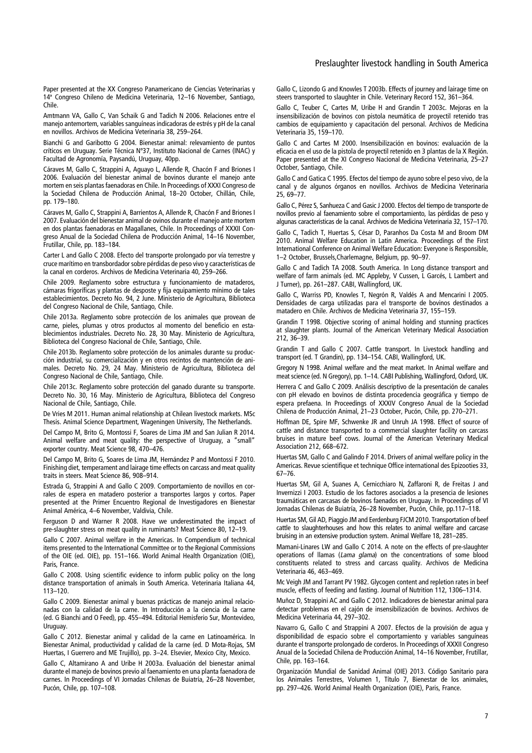<span id="page-6-0"></span>Paper presented at the XX Congreso Panamericano de Ciencias Veterinarias y 14ª Congreso Chileno de Medicina Veterinaria, 12–16 November, Santiago, Chile.

Amtmann VA, Gallo C, Van Schaik G and Tadich N 2006. Relaciones entre el manejo antemortem, variables sanguíneas indicadoras de estrés y pH de la canal en novillos. Archivos de Medicina Veterinaria 38, 259–264.

Bianchi G and Garibotto G 2004. Bienestar animal: relevamiento de puntos críticos en Uruguay. Serie Técnica Nº37, Instituto Nacional de Carnes (INAC) y Facultad de Agronomía, Paysandú, Uruguay, 40pp.

Cáraves M, Gallo C, Strappini A, Aguayo L, Allende R, Chacón F and Briones I 2006. Evaluación del bienestar animal de bovinos durante el manejo ante mortem en seis plantas faenadoras en Chile. In Proceedings of XXXI Congreso de la Sociedad Chilena de Producción Animal, 18–20 October, Chillán, Chile, pp. 179–180.

Cáraves M, Gallo C, Strappini A, Barrientos A, Allende R, Chacón F and Briones I 2007. Evaluación del bienestar animal de ovinos durante el manejo ante mortem en dos plantas faenadoras en Magallanes, Chile. In Proceedings of XXXII Congreso Anual de la Sociedad Chilena de Producción Animal, 14–16 November, Frutillar, Chile, pp. 183–184.

Carter L and Gallo C 2008. Efecto del transporte prolongado por vía terrestre y cruce marítimo en transbordador sobre pérdidas de peso vivo y características de la canal en corderos. Archivos de Medicina Veterinaria 40, 259–266.

Chile 2009. Reglamento sobre estructura y funcionamiento de mataderos, cámaras frigoríficas y plantas de desposte y fija equipamiento mínimo de tales establecimientos. Decreto No. 94, 2 June. Ministerio de Agricultura, Biblioteca del Congreso Nacional de Chile, Santiago, Chile.

Chile 2013a. Reglamento sobre protección de los animales que provean de carne, pieles, plumas y otros productos al momento del beneficio en establecimientos industriales. Decreto No. 28, 30 May. Ministerio de Agricultura, Biblioteca del Congreso Nacional de Chile, Santiago, Chile.

Chile 2013b. Reglamento sobre protección de los animales durante su producción industrial, su comercialización y en otros recintos de mantención de animales. Decreto No. 29, 24 May. Ministerio de Agricultura, Biblioteca del Congreso Nacional de Chile, Santiago, Chile.

Chile 2013c. Reglamento sobre protección del ganado durante su transporte. Decreto No. 30, 16 May. Ministerio de Agricultura, Biblioteca del Congreso Nacional de Chile, Santiago, Chile.

De Vries M 2011. Human animal relationship at Chilean livestock markets. MSc Thesis. Animal Science Department, Wageningen University, The Netherlands.

Del Campo M, Brito G, Montossi F, Soares de Lima JM and San Julian R 2014. Animal welfare and meat quality: the perspective of Uruguay, a "small" exporter country. Meat Science 98, 470–476.

Del Campo M, Brito G, Soares de Lima JM, Hernández P and Montossi F 2010. Finishing diet, temperament and lairage time effects on carcass and meat quality traits in steers. Meat Science 86, 908–914.

Estrada G, Strappini A and Gallo C 2009. Comportamiento de novillos en corrales de espera en matadero posterior a transportes largos y cortos. Paper presented at the Primer Encuentro Regional de Investigadores en Bienestar Animal América, 4–6 November, Valdivia, Chile.

Ferguson D and Warner R 2008. Have we underestimated the impact of pre-slaughter stress on meat quality in ruminants? Meat Science 80, 12–19.

Gallo C 2007. Animal welfare in the Americas. In Compendium of technical items presented to the International Committee or to the Regional Commissions of the OIE (ed. OIE), pp. 151–166. World Animal Health Organization (OIE), Paris, France.

Gallo C 2008. Using scientific evidence to inform public policy on the long distance transportation of animals in South America. Veterinaria Italiana 44, 113–120.

Gallo C 2009. Bienestar animal y buenas prácticas de manejo animal relacionadas con la calidad de la carne. In Introducción a la ciencia de la carne (ed. G Bianchi and O Feed), pp. 455–494. Editorial Hemisferio Sur, Montevideo, Uruguay.

Gallo C 2012. Bienestar animal y calidad de la carne en Latinoamérica. In Bienestar Animal, productividad y calidad de la carne (ed. D Mota-Rojas, SM Huertas, I Guerrero and ME Trujillo), pp. 3–24. Elsevier, Mexico City, Mexico.

Gallo C, Altamirano A and Uribe H 2003a. Evaluación del bienestar animal durante el manejo de bovinos previo al faenamiento en una planta faenadora de carnes. In Proceedings of VI Jornadas Chilenas de Buiatría, 26–28 November, Pucón, Chile, pp. 107–108.

Gallo C, Lizondo G and Knowles T 2003b. Effects of journey and lairage time on steers transported to slaughter in Chile. Veterinary Record 152, 361–364.

Gallo C, Teuber C, Cartes M, Uribe H and Grandin T 2003c. Mejoras en la insensibilización de bovinos con pistola neumática de proyectil retenido tras cambios de equipamiento y capacitación del personal. Archivos de Medicina Veterinaria 35, 159–170.

Gallo C and Cartes M 2000. Insensibilización en bovinos: evaluación de la eficacia en el uso de la pistola de proyectil retenido en 3 plantas de la X Región. Paper presented at the XI Congreso Nacional de Medicina Veterinaria, 25–27 October, Santiago, Chile.

Gallo C and Gatica C 1995. Efectos del tiempo de ayuno sobre el peso vivo, de la canal y de algunos órganos en novillos. Archivos de Medicina Veterinaria 25, 69–77.

Gallo C, Pérez S, Sanhueza C and Gasic J 2000. Efectos del tiempo de transporte de novillos previo al faenamiento sobre el comportamiento, las pérdidas de peso y algunas características de la canal. Archivos de Medicina Veterinaria 32, 157–170.

Gallo C, Tadich T, Huertas S, César D, Paranhos Da Costa M and Broom DM 2010. Animal Welfare Education in Latin America. Proceedings of the First International Conference on Animal Welfare Education: Everyone is Responsible, 1–2 October, Brussels,Charlemagne, Belgium, pp. 90–97.

Gallo C and Tadich TA 2008. South America. In Long distance transport and welfare of farm animals (ed. MC Appleby, V Cussen, L Garcés, L Lambert and J Turner), pp. 261–287. CABI, Wallingford, UK.

Gallo C, Warriss PD, Knowles T, Negrón R, Valdés A and Mencarini I 2005. Densidades de carga utilizadas para el transporte de bovinos destinados a matadero en Chile. Archivos de Medicina Veterinaria 37, 155–159.

Grandin T 1998. Objective scoring of animal holding and stunning practices at slaughter plants. Journal of the American Veterinary Medical Association 212, 36–39.

Grandin T and Gallo C 2007. Cattle transport. In Livestock handling and transport (ed. T Grandin), pp. 134–154. CABI, Wallingford, UK.

Gregory N 1998. Animal welfare and the meat market. In Animal welfare and meat science (ed. N Gregory), pp. 1–14. CABI Publishing, Wallingford, Oxford, UK.

Herrera C and Gallo C 2009. Análisis descriptivo de la presentación de canales con pH elevado en bovinos de distinta procedencia geográfica y tiempo de espera prefaena. In Proceedings of XXXIV Congreso Anual de la Sociedad Chilena de Producción Animal, 21–23 October, Pucón, Chile, pp. 270–271.

Hoffman DE, Spire MF, Schwenke JR and Unruh JA 1998. Effect of source of cattle and distance transported to a commercial slaughter facility on carcass bruises in mature beef cows. Journal of the American Veterinary Medical Association 212, 668–672.

Huertas SM, Gallo C and Galindo F 2014. Drivers of animal welfare policy in the Americas. Revue scientifique et technique Office international des Epizooties 33, 67–76.

Huertas SM, Gil A, Suanes A, Cernicchiaro N, Zaffaroni R, de Freitas J and Invernizzi I 2003. Estudio de los factores asociados a la presencia de lesiones traumáticas en carcasas de bovinos faenados en Uruguay. In Proceedings of VI Jornadas Chilenas de Buiatría, 26–28 November, Pucón, Chile, pp.117–118.

Huertas SM, Gil AD, Piaggio JM and Eerdenburg FJCM 2010. Transportation of beef cattle to slaughterhouses and how this relates to animal welfare and carcase bruising in an extensive production system. Animal Welfare 18, 281–285.

Mamani-Linares LW and Gallo C 2014. A note on the effects of pre-slaughter operations of llamas (Lama glama) on the concentrations of some blood constituents related to stress and carcass quality. Archivos de Medicina Veterinaria 46, 463–469.

Mc Veigh JM and Tarrant PV 1982. Glycogen content and repletion rates in beef muscle, effects of feeding and fasting. Journal of Nutrition 112, 1306–1314.

Muñoz D, Strappini AC and Gallo C 2012. Indicadores de bienestar animal para detectar problemas en el cajón de insensibilización de bovinos. Archivos de Medicina Veterinaria 44, 297–302.

Navarro G, Gallo C and Strappini A 2007. Efectos de la provisión de agua y disponibilidad de espacio sobre el comportamiento y variables sanguíneas durante el transporte prolongado de corderos. In Proceedings of XXXII Congreso Anual de la Sociedad Chilena de Producción Animal, 14–16 November, Frutillar, Chile, pp. 163–164.

Organización Mundial de Sanidad Animal (OIE) 2013. Código Sanitario para los Animales Terrestres, Volumen 1, Título 7, Bienestar de los animales, pp. 297–426. World Animal Health Organization (OIE), Paris, France.